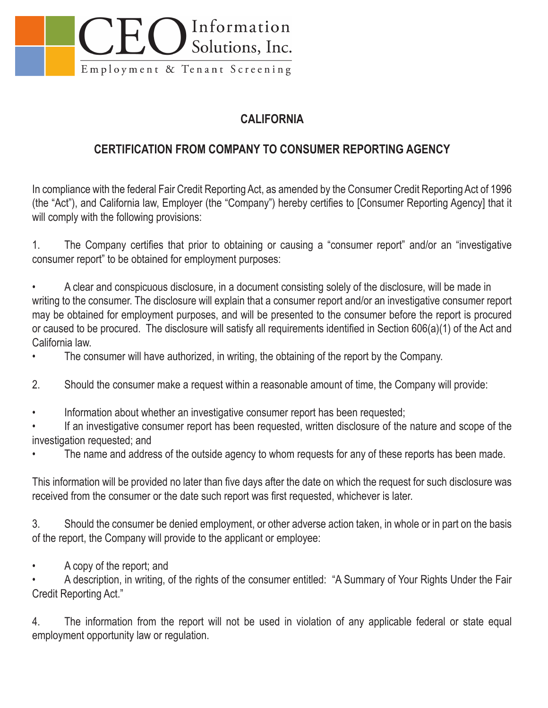

## **CALIFORNIA**

## **CERTIFICATION FROM COMPANY TO CONSUMER REPORTING AGENCY**

In compliance with the federal Fair Credit Reporting Act, as amended by the Consumer Credit Reporting Act of 1996 (the "Act"), and California law, Employer (the "Company") hereby certifies to [Consumer Reporting Agency] that it will comply with the following provisions:

1. The Company certifies that prior to obtaining or causing a "consumer report" and/or an "investigative consumer report" to be obtained for employment purposes:

• A clear and conspicuous disclosure, in a document consisting solely of the disclosure, will be made in writing to the consumer. The disclosure will explain that a consumer report and/or an investigative consumer report may be obtained for employment purposes, and will be presented to the consumer before the report is procured or caused to be procured. The disclosure will satisfy all requirements identified in Section 606(a)(1) of the Act and California law.

• The consumer will have authorized, in writing, the obtaining of the report by the Company.

- 2. Should the consumer make a request within a reasonable amount of time, the Company will provide:
- Information about whether an investigative consumer report has been requested;

If an investigative consumer report has been requested, written disclosure of the nature and scope of the investigation requested; and

The name and address of the outside agency to whom requests for any of these reports has been made.

This information will be provided no later than five days after the date on which the request for such disclosure was received from the consumer or the date such report was first requested, whichever is later.

3. Should the consumer be denied employment, or other adverse action taken, in whole or in part on the basis of the report, the Company will provide to the applicant or employee:

• A copy of the report; and

• A description, in writing, of the rights of the consumer entitled: "A Summary of Your Rights Under the Fair Credit Reporting Act."

4. The information from the report will not be used in violation of any applicable federal or state equal employment opportunity law or regulation.